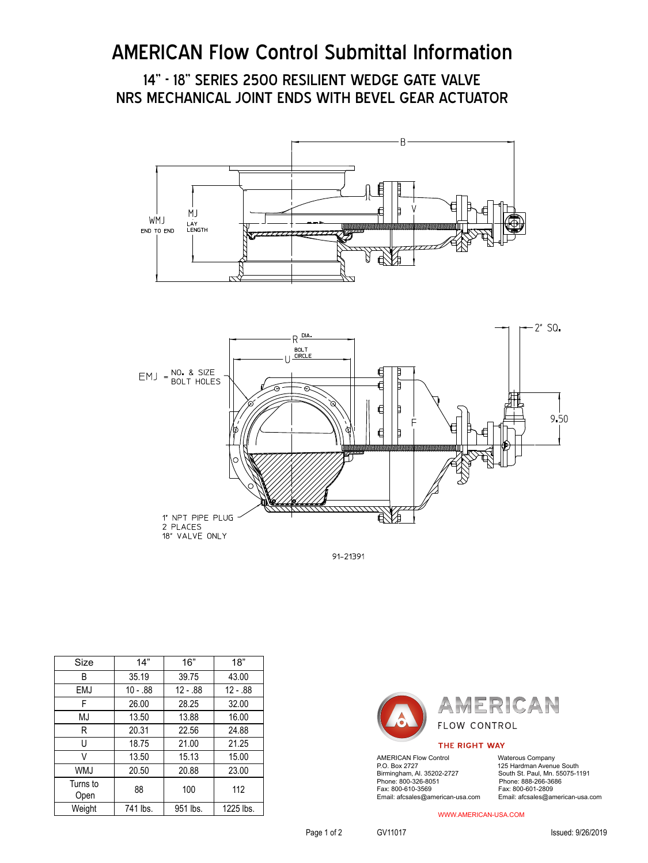# AMERICAN Flow Control Submittal Information

14" - 18" SERIES 2500 RESILIENT WEDGE GATE VALVE NRS MECHANICAL JOINT ENDS WITH BEVEL GEAR ACTUATOR





91-21391

| Size             | 14"        | 16"      | 18"       |
|------------------|------------|----------|-----------|
| B                | 35.19      | 39.75    | 43.00     |
| <b>EMJ</b>       | $10 - .88$ | 12 - .88 | 12 - .88  |
| F                | 26.00      | 28.25    | 32.00     |
| MJ               | 13.50      | 13.88    | 16.00     |
| R                | 20.31      | 22.56    | 24.88     |
| U                | 18.75      | 21.00    | 21.25     |
| V                | 13.50      | 15.13    | 15.00     |
| WMJ              | 20.50      | 20.88    | 23.00     |
| Turns to<br>Open | 88         | 100      | 112       |
| Weight           | 741 lbs.   | 951 lbs. | 1225 lbs. |



#### THE RIGHT WAY

AMERICAN Flow Control Waterous Company<br>P.O. Box 2727 125 Hardman Avenu P.O. Box 2727 125 Hardman Avenue South<br>Birmingham, Al. 35202-2727 South St. Paul, Mn. 55075-1 Phone: 800-326-8051<br>Fax: 800-610-3569 Email: afcsales@american-usa.com Email: afcsales@american-usa.com

South St. Paul, Mn. 55075-1191<br>Phone: 888-266-3686 Fax: 800-601-2809<br>Email: afcsales@american-usa.com

WWW.AMERICAN-USA.COM